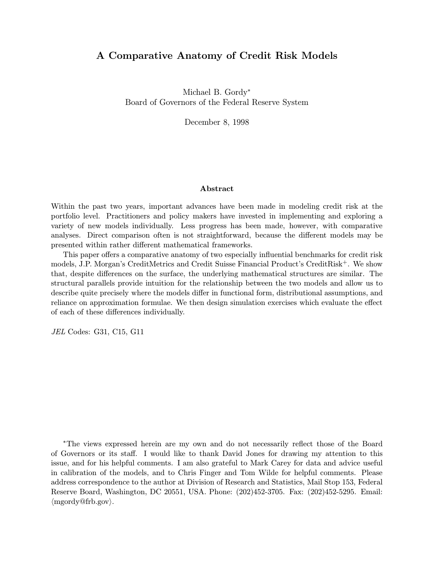# A Comparative Anatomy of Credit Risk Models

Michael B. Gordy<sup>∗</sup> Board of Governors of the Federal Reserve System

December 8, 1998

#### Abstract

Within the past two years, important advances have been made in modeling credit risk at the portfolio level. Practitioners and policy makers have invested in implementing and exploring a variety of new models individually. Less progress has been made, however, with comparative analyses. Direct comparison often is not straightforward, because the different models may be presented within rather different mathematical frameworks.

This paper offers a comparative anatomy of two especially influential benchmarks for credit risk models, J.P. Morgan's CreditMetrics and Credit Suisse Financial Product's CreditRisk<sup>+</sup>. We show that, despite differences on the surface, the underlying mathematical structures are similar. The structural parallels provide intuition for the relationship between the two models and allow us to describe quite precisely where the models differ in functional form, distributional assumptions, and reliance on approximation formulae. We then design simulation exercises which evaluate the effect of each of these differences individually.

JEL Codes: G31, C15, G11

<sup>∗</sup>The views expressed herein are my own and do not necessarily reflect those of the Board of Governors or its staff. I would like to thank David Jones for drawing my attention to this issue, and for his helpful comments. I am also grateful to Mark Carey for data and advice useful in calibration of the models, and to Chris Finger and Tom Wilde for helpful comments. Please address correspondence to the author at Division of Research and Statistics, Mail Stop 153, Federal Reserve Board, Washington, DC 20551, USA. Phone: (202)452-3705. Fax: (202)452-5295. Email:  $\langle$ mgordy@frb.gov $\rangle$ .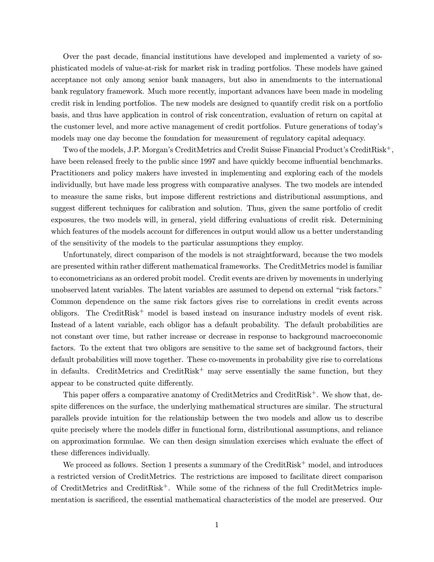Over the past decade, financial institutions have developed and implemented a variety of sophisticated models of value-at-risk for market risk in trading portfolios. These models have gained acceptance not only among senior bank managers, but also in amendments to the international bank regulatory framework. Much more recently, important advances have been made in modeling credit risk in lending portfolios. The new models are designed to quantify credit risk on a portfolio basis, and thus have application in control of risk concentration, evaluation of return on capital at the customer level, and more active management of credit portfolios. Future generations of today's models may one day become the foundation for measurement of regulatory capital adequacy.

Two of the models, J.P. Morgan's CreditMetrics and Credit Suisse Financial Product's CreditRisk+, have been released freely to the public since 1997 and have quickly become influential benchmarks. Practitioners and policy makers have invested in implementing and exploring each of the models individually, but have made less progress with comparative analyses. The two models are intended to measure the same risks, but impose different restrictions and distributional assumptions, and suggest different techniques for calibration and solution. Thus, given the same portfolio of credit exposures, the two models will, in general, yield differing evaluations of credit risk. Determining which features of the models account for differences in output would allow us a better understanding of the sensitivity of the models to the particular assumptions they employ.

Unfortunately, direct comparison of the models is not straightforward, because the two models are presented within rather different mathematical frameworks. The CreditMetrics model is familiar to econometricians as an ordered probit model. Credit events are driven by movements in underlying unobserved latent variables. The latent variables are assumed to depend on external "risk factors." Common dependence on the same risk factors gives rise to correlations in credit events across obligors. The CreditRisk<sup>+</sup> model is based instead on insurance industry models of event risk. Instead of a latent variable, each obligor has a default probability. The default probabilities are not constant over time, but rather increase or decrease in response to background macroeconomic factors. To the extent that two obligors are sensitive to the same set of background factors, their default probabilities will move together. These co-movements in probability give rise to correlations in defaults. CreditMetrics and CreditRisk<sup>+</sup> may serve essentially the same function, but they appear to be constructed quite differently.

This paper offers a comparative anatomy of CreditMetrics and CreditRisk<sup>+</sup>. We show that, despite differences on the surface, the underlying mathematical structures are similar. The structural parallels provide intuition for the relationship between the two models and allow us to describe quite precisely where the models differ in functional form, distributional assumptions, and reliance on approximation formulae. We can then design simulation exercises which evaluate the effect of these differences individually.

We proceed as follows. Section 1 presents a summary of the CreditRisk<sup>+</sup> model, and introduces a restricted version of CreditMetrics. The restrictions are imposed to facilitate direct comparison of CreditMetrics and CreditRisk+. While some of the richness of the full CreditMetrics implementation is sacrificed, the essential mathematical characteristics of the model are preserved. Our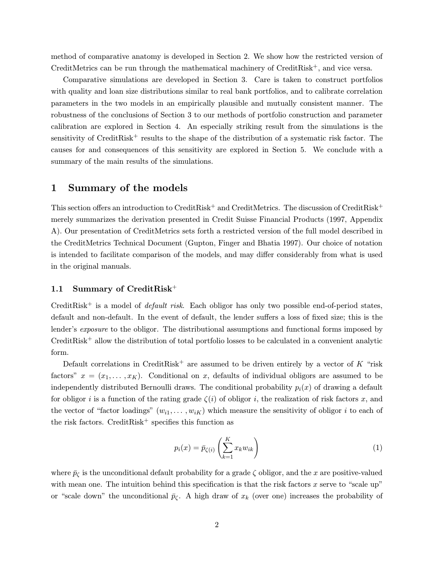method of comparative anatomy is developed in Section 2. We show how the restricted version of CreditMetrics can be run through the mathematical machinery of CreditRisk+, and vice versa.

Comparative simulations are developed in Section 3. Care is taken to construct portfolios with quality and loan size distributions similar to real bank portfolios, and to calibrate correlation parameters in the two models in an empirically plausible and mutually consistent manner. The robustness of the conclusions of Section 3 to our methods of portfolio construction and parameter calibration are explored in Section 4. An especially striking result from the simulations is the sensitivity of CreditRisk<sup>+</sup> results to the shape of the distribution of a systematic risk factor. The causes for and consequences of this sensitivity are explored in Section 5. We conclude with a summary of the main results of the simulations.

### 1 Summary of the models

This section offers an introduction to CreditRisk<sup>+</sup> and CreditMetrics. The discussion of CreditRisk<sup>+</sup> merely summarizes the derivation presented in Credit Suisse Financial Products (1997, Appendix A). Our presentation of CreditMetrics sets forth a restricted version of the full model described in the CreditMetrics Technical Document (Gupton, Finger and Bhatia 1997). Our choice of notation is intended to facilitate comparison of the models, and may differ considerably from what is used in the original manuals.

### 1.1 Summary of CreditRisk<sup>+</sup>

CreditRisk<sup>+</sup> is a model of *default risk*. Each obligor has only two possible end-of-period states, default and non-default. In the event of default, the lender suffers a loss of fixed size; this is the lender's exposure to the obligor. The distributional assumptions and functional forms imposed by CreditRisk<sup>+</sup> allow the distribution of total portfolio losses to be calculated in a convenient analytic form.

Default correlations in CreditRisk<sup>+</sup> are assumed to be driven entirely by a vector of K "risk" factors"  $x = (x_1, \ldots, x_K)$ . Conditional on x, defaults of individual obligors are assumed to be independently distributed Bernoulli draws. The conditional probability  $p_i(x)$  of drawing a default for obligor i is a function of the rating grade  $\zeta(i)$  of obligor i, the realization of risk factors x, and the vector of "factor loadings"  $(w_{i1}, \ldots, w_{iK})$  which measure the sensitivity of obligor i to each of the risk factors. CreditRisk<sup>+</sup> specifies this function as

$$
p_i(x) = \bar{p}_{\zeta(i)} \left( \sum_{k=1}^K x_k w_{ik} \right) \tag{1}
$$

where  $\bar{p}_\zeta$  is the unconditional default probability for a grade  $\zeta$  obligor, and the x are positive-valued with mean one. The intuition behind this specification is that the risk factors  $x$  serve to "scale up" or "scale down" the unconditional  $\bar{p}_{\zeta}$ . A high draw of  $x_k$  (over one) increases the probability of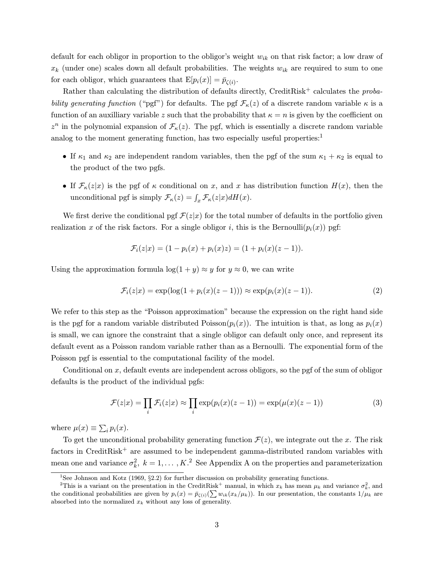default for each obligor in proportion to the obligor's weight  $w_{ik}$  on that risk factor; a low draw of  $x_k$  (under one) scales down all default probabilities. The weights  $w_{ik}$  are required to sum to one for each obligor, which guarantees that  $E[p_i(x)] = \bar{p}_{\zeta(i)}$ .

Rather than calculating the distribution of defaults directly, CreditRisk<sup>+</sup> calculates the  $proba$ bility generating function ("pgf") for defaults. The pgf  $\mathcal{F}_{\kappa}(z)$  of a discrete random variable  $\kappa$  is a function of an auxilliary variable z such that the probability that  $\kappa = n$  is given by the coefficient on  $z^n$  in the polynomial expansion of  $\mathcal{F}_\kappa(z)$ . The pgf, which is essentially a discrete random variable analog to the moment generating function, has two especially useful properties: $<sup>1</sup>$ </sup>

- If  $\kappa_1$  and  $\kappa_2$  are independent random variables, then the pgf of the sum  $\kappa_1 + \kappa_2$  is equal to the product of the two pgfs.
- If  $\mathcal{F}_{\kappa}(z|x)$  is the pgf of  $\kappa$  conditional on x, and x has distribution function  $H(x)$ , then the unconditional pgf is simply  $\mathcal{F}_{\kappa}(z) = \int_x \mathcal{F}_{\kappa}(z|x) dH(x)$ .

We first derive the conditional pgf  $\mathcal{F}(z|x)$  for the total number of defaults in the portfolio given realization x of the risk factors. For a single obligor i, this is the Bernoulli $(p_i(x))$  pgf:

$$
\mathcal{F}_i(z|x) = (1 - p_i(x) + p_i(x)z) = (1 + p_i(x)(z - 1)).
$$

Using the approximation formula  $\log(1+y) \approx y$  for  $y \approx 0$ , we can write

$$
\mathcal{F}_i(z|x) = \exp(\log(1 + p_i(x)(z-1))) \approx \exp(p_i(x)(z-1)).\tag{2}
$$

We refer to this step as the "Poisson approximation" because the expression on the right hand side is the pgf for a random variable distributed Poisson $(p_i(x))$ . The intuition is that, as long as  $p_i(x)$ is small, we can ignore the constraint that a single obligor can default only once, and represent its default event as a Poisson random variable rather than as a Bernoulli. The exponential form of the Poisson pgf is essential to the computational facility of the model.

Conditional on  $x$ , default events are independent across obligors, so the pgf of the sum of obligor defaults is the product of the individual pgfs:

$$
\mathcal{F}(z|x) = \prod_{i} \mathcal{F}_i(z|x) \approx \prod_{i} \exp(p_i(x)(z-1)) = \exp(\mu(x)(z-1))
$$
\n(3)

where  $\mu(x) \equiv \sum_i p_i(x)$ .

To get the unconditional probability generating function  $\mathcal{F}(z)$ , we integrate out the x. The risk factors in CreditRisk<sup>+</sup> are assumed to be independent gamma-distributed random variables with mean one and variance  $\sigma_k^2$ ,  $k = 1, ..., K$ .<sup>2</sup> See Appendix A on the properties and parameterization

<sup>&</sup>lt;sup>1</sup>See Johnson and Kotz (1969, §2.2) for further discussion on probability generating functions.

<sup>&</sup>lt;sup>2</sup>This is a variant on the presentation in the CreditRisk<sup>+</sup> manual, in which  $x_k$  has mean  $\mu_k$  and variance  $\sigma_k^2$ , and the conditional probabilities are given by  $p_i(x) = \bar{p}_{\zeta(i)}(\sum w_{ik}(x_k/\mu_k))$ . In our presentation, the constants  $1/\mu_k$  are absorbed into the normalized  $x_k$  without any loss of generality.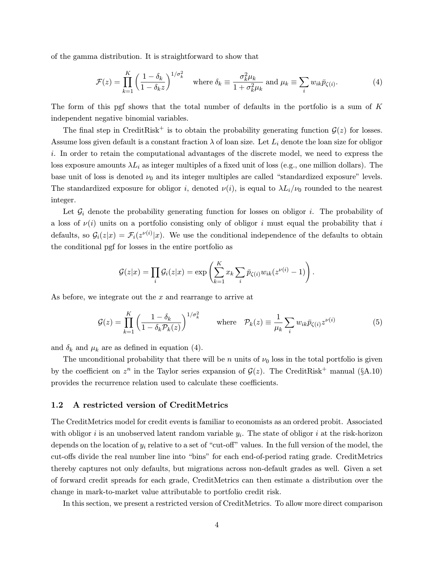of the gamma distribution. It is straightforward to show that

$$
\mathcal{F}(z) = \prod_{k=1}^{K} \left( \frac{1 - \delta_k}{1 - \delta_k z} \right)^{1/\sigma_k^2} \quad \text{where } \delta_k \equiv \frac{\sigma_k^2 \mu_k}{1 + \sigma_k^2 \mu_k} \text{ and } \mu_k \equiv \sum_i w_{ik} \bar{p}_{\zeta(i)}.
$$
 (4)

The form of this pgf shows that the total number of defaults in the portfolio is a sum of  $K$ independent negative binomial variables.

The final step in CreditRisk<sup>+</sup> is to obtain the probability generating function  $\mathcal{G}(z)$  for losses. Assume loss given default is a constant fraction  $\lambda$  of loan size. Let  $L_i$  denote the loan size for obligor i. In order to retain the computational advantages of the discrete model, we need to express the loss exposure amounts  $\lambda L_i$  as integer multiples of a fixed unit of loss (e.g., one million dollars). The base unit of loss is denoted  $\nu_0$  and its integer multiples are called "standardized exposure" levels. The standardized exposure for obligor i, denoted  $\nu(i)$ , is equal to  $\lambda L_i/\nu_0$  rounded to the nearest integer.

Let  $\mathcal{G}_i$  denote the probability generating function for losses on obligor i. The probability of a loss of  $\nu(i)$  units on a portfolio consisting only of obligor i must equal the probability that i defaults, so  $\mathcal{G}_i(z|x) = \mathcal{F}_i(z^{\nu(i)}|x)$ . We use the conditional independence of the defaults to obtain the conditional pgf for losses in the entire portfolio as

$$
\mathcal{G}(z|x) = \prod_i \mathcal{G}_i(z|x) = \exp\left(\sum_{k=1}^K x_k \sum_i \bar{p}_{\zeta(i)} w_{ik}(z^{\nu(i)} - 1)\right).
$$

As before, we integrate out the x and rearrange to arrive at

$$
\mathcal{G}(z) = \prod_{k=1}^{K} \left( \frac{1 - \delta_k}{1 - \delta_k \mathcal{P}_k(z)} \right)^{1/\sigma_k^2} \qquad \text{where} \quad \mathcal{P}_k(z) \equiv \frac{1}{\mu_k} \sum_i w_{ik} \bar{p}_{\zeta(i)} z^{\nu(i)} \tag{5}
$$

and  $\delta_k$  and  $\mu_k$  are as defined in equation (4).

The unconditional probability that there will be n units of  $\nu_0$  loss in the total portfolio is given by the coefficient on  $z^n$  in the Taylor series expansion of  $\mathcal{G}(z)$ . The CreditRisk<sup>+</sup> manual (§A.10) provides the recurrence relation used to calculate these coefficients.

### 1.2 A restricted version of CreditMetrics

The CreditMetrics model for credit events is familiar to economists as an ordered probit. Associated with obligor i is an unobserved latent random variable  $y_i$ . The state of obligor i at the risk-horizon depends on the location of  $y_i$  relative to a set of "cut-off" values. In the full version of the model, the cut-offs divide the real number line into "bins" for each end-of-period rating grade. CreditMetrics thereby captures not only defaults, but migrations across non-default grades as well. Given a set of forward credit spreads for each grade, CreditMetrics can then estimate a distribution over the change in mark-to-market value attributable to portfolio credit risk.

In this section, we present a restricted version of CreditMetrics. To allow more direct comparison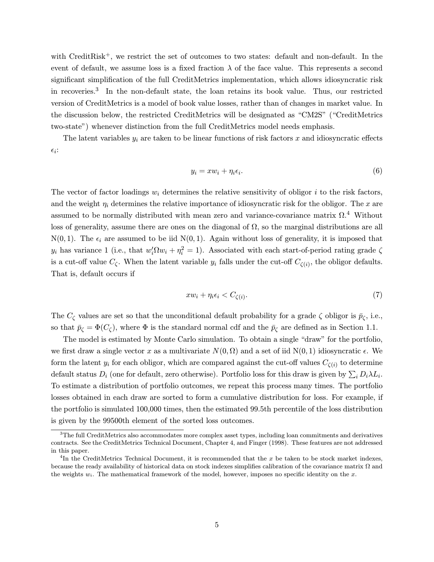with CreditRisk<sup>+</sup>, we restrict the set of outcomes to two states: default and non-default. In the event of default, we assume loss is a fixed fraction  $\lambda$  of the face value. This represents a second significant simplification of the full CreditMetrics implementation, which allows idiosyncratic risk in recoveries.<sup>3</sup> In the non-default state, the loan retains its book value. Thus, our restricted version of CreditMetrics is a model of book value losses, rather than of changes in market value. In the discussion below, the restricted CreditMetrics will be designated as "CM2S" ("CreditMetrics two-state") whenever distinction from the full CreditMetrics model needs emphasis.

The latent variables  $y_i$  are taken to be linear functions of risk factors x and idiosyncratic effects  $\epsilon_i$ :

$$
y_i = xw_i + \eta_i \epsilon_i. \tag{6}
$$

The vector of factor loadings  $w_i$  determines the relative sensitivity of obligor i to the risk factors, and the weight  $\eta_i$  determines the relative importance of idiosyncratic risk for the obligor. The x are assumed to be normally distributed with mean zero and variance-covariance matrix  $\Omega$ .<sup>4</sup> Without loss of generality, assume there are ones on the diagonal of  $\Omega$ , so the marginal distributions are all  $N(0, 1)$ . The  $\epsilon_i$  are assumed to be iid  $N(0, 1)$ . Again without loss of generality, it is imposed that  $y_i$  has variance 1 (i.e., that  $w_i' \Omega w_i + \eta_i^2 = 1$ ). Associated with each start-of-period rating grade  $\zeta$ is a cut-off value  $C_{\zeta}$ . When the latent variable  $y_i$  falls under the cut-off  $C_{\zeta(i)}$ , the obligor defaults. That is, default occurs if

$$
xw_i + \eta_i \epsilon_i < C_{\zeta(i)}.\tag{7}
$$

The  $C_{\zeta}$  values are set so that the unconditional default probability for a grade  $\zeta$  obligor is  $\bar{p}_{\zeta}$ , i.e., so that  $\bar{p}_{\zeta} = \Phi(C_{\zeta})$ , where  $\Phi$  is the standard normal cdf and the  $\bar{p}_{\zeta}$  are defined as in Section 1.1.

The model is estimated by Monte Carlo simulation. To obtain a single "draw" for the portfolio, we first draw a single vector x as a multivariate  $N(0, \Omega)$  and a set of iid  $N(0, 1)$  idiosyncratic  $\epsilon$ . We form the latent  $y_i$  for each obligor, which are compared against the cut-off values  $C_{\zeta(i)}$  to determine default status  $D_i$  (one for default, zero otherwise). Portfolio loss for this draw is given by  $\sum_i D_i \lambda L_i$ . To estimate a distribution of portfolio outcomes, we repeat this process many times. The portfolio losses obtained in each draw are sorted to form a cumulative distribution for loss. For example, if the portfolio is simulated 100,000 times, then the estimated 99.5th percentile of the loss distribution is given by the 99500th element of the sorted loss outcomes.

<sup>3</sup>The full CreditMetrics also accommodates more complex asset types, including loan commitments and derivatives contracts. See the CreditMetrics Technical Document, Chapter 4, and Finger (1998). These features are not addressed in this paper.

<sup>&</sup>lt;sup>4</sup>In the CreditMetrics Technical Document, it is recommended that the x be taken to be stock market indexes, because the ready availability of historical data on stock indexes simplifies calibration of the covariance matrix Ω and the weights  $w_i$ . The mathematical framework of the model, however, imposes no specific identity on the x.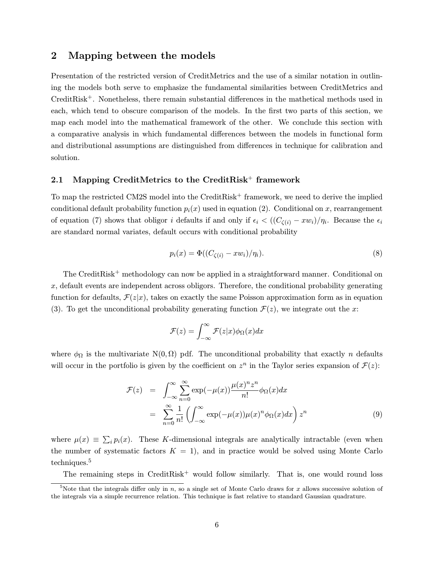# 2 Mapping between the models

Presentation of the restricted version of CreditMetrics and the use of a similar notation in outlining the models both serve to emphasize the fundamental similarities between CreditMetrics and CreditRisk+. Nonetheless, there remain substantial differences in the mathetical methods used in each, which tend to obscure comparison of the models. In the first two parts of this section, we map each model into the mathematical framework of the other. We conclude this section with a comparative analysis in which fundamental differences between the models in functional form and distributional assumptions are distinguished from differences in technique for calibration and solution.

### 2.1 Mapping CreditMetrics to the CreditRisk<sup>+</sup> framework

To map the restricted CM2S model into the CreditRisk<sup>+</sup> framework, we need to derive the implied conditional default probability function  $p_i(x)$  used in equation (2). Conditional on x, rearrangement of equation (7) shows that obligor i defaults if and only if  $\epsilon_i < ((C_{\zeta(i)} - xw_i)/\eta_i)$ . Because the  $\epsilon_i$ are standard normal variates, default occurs with conditional probability

$$
p_i(x) = \Phi((C_{\zeta(i)} - xw_i)/\eta_i). \tag{8}
$$

The CreditRisk<sup>+</sup> methodology can now be applied in a straightforward manner. Conditional on  $x$ , default events are independent across obligors. Therefore, the conditional probability generating function for defaults,  $\mathcal{F}(z|x)$ , takes on exactly the same Poisson approximation form as in equation (3). To get the unconditional probability generating function  $\mathcal{F}(z)$ , we integrate out the x:

$$
\mathcal{F}(z) = \int_{-\infty}^{\infty} \mathcal{F}(z|x) \phi_{\Omega}(x) dx
$$

where  $\phi_{\Omega}$  is the multivariate N(0,  $\Omega$ ) pdf. The unconditional probability that exactly n defaults will occur in the portfolio is given by the coefficient on  $z^n$  in the Taylor series expansion of  $\mathcal{F}(z)$ :

$$
\mathcal{F}(z) = \int_{-\infty}^{\infty} \sum_{n=0}^{\infty} \exp(-\mu(x)) \frac{\mu(x)^n z^n}{n!} \phi_{\Omega}(x) dx
$$

$$
= \sum_{n=0}^{\infty} \frac{1}{n!} \left( \int_{-\infty}^{\infty} \exp(-\mu(x)) \mu(x)^n \phi_{\Omega}(x) dx \right) z^n \tag{9}
$$

where  $\mu(x) \equiv \sum_i p_i(x)$ . These K-dimensional integrals are analytically intractable (even when the number of systematic factors  $K = 1$ , and in practice would be solved using Monte Carlo techniques.<sup>5</sup>

The remaining steps in  $CreditRisk^+$  would follow similarly. That is, one would round loss

<sup>&</sup>lt;sup>5</sup>Note that the integrals differ only in n, so a single set of Monte Carlo draws for x allows successive solution of the integrals via a simple recurrence relation. This technique is fast relative to standard Gaussian quadrature.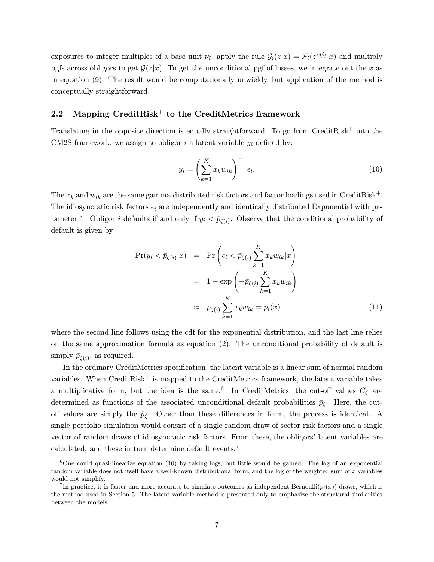exposures to integer multiples of a base unit  $\nu_0$ , apply the rule  $\mathcal{G}_i(z|x) = \mathcal{F}_i(z^{\nu(i)}|x)$  and multiply pgfs across obligors to get  $\mathcal{G}(z|x)$ . To get the unconditional pgf of losses, we integrate out the x as in equation (9). The result would be computationally unwieldy, but application of the method is conceptually straightforward.

### 2.2 Mapping CreditRisk<sup>+</sup> to the CreditMetrics framework

Translating in the opposite direction is equally straightforward. To go from CreditRisk<sup>+</sup> into the CM2S framework, we assign to obligor i a latent variable  $y_i$  defined by:

$$
y_i = \left(\sum_{k=1}^K x_k w_{ik}\right)^{-1} \epsilon_i.
$$
 (10)

The  $x_k$  and  $w_{ik}$  are the same gamma-distributed risk factors and factor loadings used in CreditRisk<sup>+</sup>. The idiosyncratic risk factors  $\epsilon_i$  are independently and identically distributed Exponential with parameter 1. Obligor *i* defaults if and only if  $y_i < \bar{p}_{\zeta(i)}$ . Observe that the conditional probability of default is given by:

$$
\Pr(y_i < \bar{p}_{\zeta(i)} | x) = \Pr\left(\epsilon_i < \bar{p}_{\zeta(i)} \sum_{k=1}^K x_k w_{ik} | x\right)
$$
\n
$$
= 1 - \exp\left(-\bar{p}_{\zeta(i)} \sum_{k=1}^K x_k w_{ik}\right)
$$
\n
$$
\approx \bar{p}_{\zeta(i)} \sum_{k=1}^K x_k w_{ik} = p_i(x) \tag{11}
$$

where the second line follows using the cdf for the exponential distribution, and the last line relies on the same approximation formula as equation (2). The unconditional probability of default is simply  $\bar{p}_{\zeta(i)}$ , as required.

In the ordinary CreditMetrics specification, the latent variable is a linear sum of normal random variables. When  $CreditRisk^+$  is mapped to the  $CreditMetrics$  framework, the latent variable takes a multiplicative form, but the idea is the same.<sup>6</sup> In CreditMetrics, the cut-off values  $C_{\zeta}$  are determined as functions of the associated unconditional default probabilities  $\bar{p}_{\zeta}$ . Here, the cutoff values are simply the  $\bar{p}_{\zeta}$ . Other than these differences in form, the process is identical. A single portfolio simulation would consist of a single random draw of sector risk factors and a single vector of random draws of idiosyncratic risk factors. From these, the obligors' latent variables are calculated, and these in turn determine default events.<sup>7</sup>

<sup>6</sup>One could quasi-linearize equation (10) by taking logs, but little would be gained. The log of an exponential random variable does not itself have a well-known distributional form, and the log of the weighted sum of  $x$  variables would not simplify.

<sup>&</sup>lt;sup>7</sup>In practice, it is faster and more accurate to simulate outcomes as independent Bernoulli( $p_i(x)$ ) draws, which is the method used in Section 5. The latent variable method is presented only to emphasize the structural similarities between the models.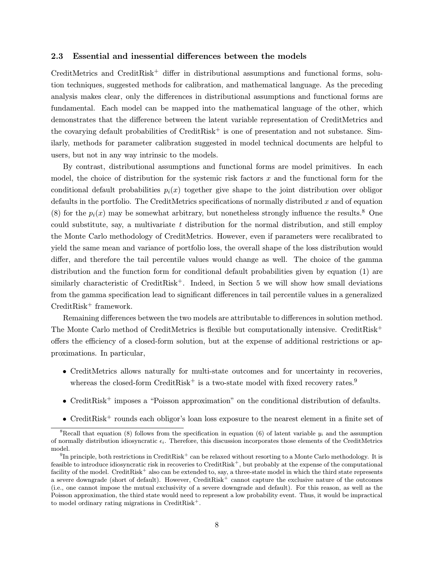#### 2.3 Essential and inessential differences between the models

CreditMetrics and CreditRisk<sup>+</sup> differ in distributional assumptions and functional forms, solution techniques, suggested methods for calibration, and mathematical language. As the preceding analysis makes clear, only the differences in distributional assumptions and functional forms are fundamental. Each model can be mapped into the mathematical language of the other, which demonstrates that the difference between the latent variable representation of CreditMetrics and the covarying default probabilities of  $CreditRisk^+$  is one of presentation and not substance. Similarly, methods for parameter calibration suggested in model technical documents are helpful to users, but not in any way intrinsic to the models.

By contrast, distributional assumptions and functional forms are model primitives. In each model, the choice of distribution for the systemic risk factors  $x$  and the functional form for the conditional default probabilities  $p_i(x)$  together give shape to the joint distribution over obligor defaults in the portfolio. The CreditMetrics specifications of normally distributed  $x$  and of equation (8) for the  $p_i(x)$  may be somewhat arbitrary, but nonetheless strongly influence the results.<sup>8</sup> One could substitute, say, a multivariate  $t$  distribution for the normal distribution, and still employ the Monte Carlo methodology of CreditMetrics. However, even if parameters were recalibrated to yield the same mean and variance of portfolio loss, the overall shape of the loss distribution would differ, and therefore the tail percentile values would change as well. The choice of the gamma distribution and the function form for conditional default probabilities given by equation (1) are similarly characteristic of CreditRisk<sup>+</sup>. Indeed, in Section 5 we will show how small deviations from the gamma specification lead to significant differences in tail percentile values in a generalized  $CreditRisk^+$  framework.

Remaining differences between the two models are attributable to differences in solution method. The Monte Carlo method of CreditMetrics is flexible but computationally intensive. CreditRisk<sup>+</sup> offers the efficiency of a closed-form solution, but at the expense of additional restrictions or approximations. In particular,

- CreditMetrics allows naturally for multi-state outcomes and for uncertainty in recoveries, whereas the closed-form CreditRisk<sup>+</sup> is a two-state model with fixed recovery rates.<sup>9</sup>
- CreditRisk<sup>+</sup> imposes a "Poisson approximation" on the conditional distribution of defaults.
- CreditRisk<sup>+</sup> rounds each obligor's loan loss exposure to the nearest element in a finite set of

<sup>&</sup>lt;sup>8</sup>Recall that equation (8) follows from the specification in equation (6) of latent variable  $y_i$  and the assumption of normally distribution idiosyncratic  $\epsilon_i$ . Therefore, this discussion incorporates those elements of the CreditMetrics model.

 $9$ In principle, both restrictions in CreditRisk<sup>+</sup> can be relaxed without resorting to a Monte Carlo methodology. It is feasible to introduce idiosyncratic risk in recoveries to CreditRisk<sup>+</sup>, but probably at the expense of the computational facility of the model. CreditRisk<sup>+</sup> also can be extended to, say, a three-state model in which the third state represents a severe downgrade (short of default). However, CreditRisk<sup>+</sup> cannot capture the exclusive nature of the outcomes (i.e., one cannot impose the mutual exclusivity of a severe downgrade and default). For this reason, as well as the Poisson approximation, the third state would need to represent a low probability event. Thus, it would be impractical to model ordinary rating migrations in CreditRisk<sup>+</sup>.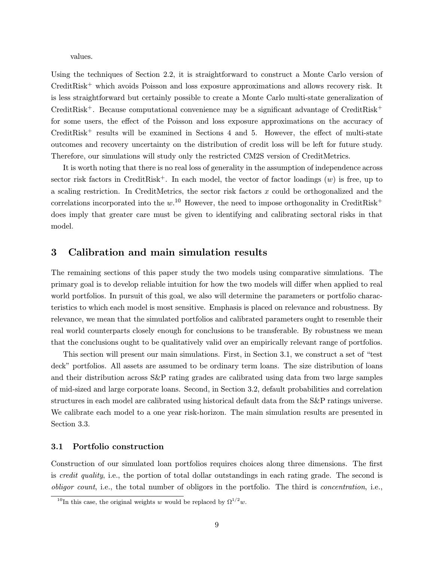values.

Using the techniques of Section 2.2, it is straightforward to construct a Monte Carlo version of CreditRisk<sup>+</sup> which avoids Poisson and loss exposure approximations and allows recovery risk. It is less straightforward but certainly possible to create a Monte Carlo multi-state generalization of CreditRisk<sup>+</sup>. Because computational convenience may be a significant advantage of CreditRisk<sup>+</sup> for some users, the effect of the Poisson and loss exposure approximations on the accuracy of  $CreditRisk<sup>+</sup>$  results will be examined in Sections 4 and 5. However, the effect of multi-state outcomes and recovery uncertainty on the distribution of credit loss will be left for future study. Therefore, our simulations will study only the restricted CM2S version of CreditMetrics.

It is worth noting that there is no real loss of generality in the assumption of independence across sector risk factors in CreditRisk<sup>+</sup>. In each model, the vector of factor loadings  $(w)$  is free, up to a scaling restriction. In CreditMetrics, the sector risk factors  $x$  could be orthogonalized and the correlations incorporated into the  $w$ <sup>10</sup> However, the need to impose orthogonality in CreditRisk<sup>+</sup> does imply that greater care must be given to identifying and calibrating sectoral risks in that model.

### 3 Calibration and main simulation results

The remaining sections of this paper study the two models using comparative simulations. The primary goal is to develop reliable intuition for how the two models will differ when applied to real world portfolios. In pursuit of this goal, we also will determine the parameters or portfolio characteristics to which each model is most sensitive. Emphasis is placed on relevance and robustness. By relevance, we mean that the simulated portfolios and calibrated parameters ought to resemble their real world counterparts closely enough for conclusions to be transferable. By robustness we mean that the conclusions ought to be qualitatively valid over an empirically relevant range of portfolios.

This section will present our main simulations. First, in Section 3.1, we construct a set of "test deck" portfolios. All assets are assumed to be ordinary term loans. The size distribution of loans and their distribution across S&P rating grades are calibrated using data from two large samples of mid-sized and large corporate loans. Second, in Section 3.2, default probabilities and correlation structures in each model are calibrated using historical default data from the S&P ratings universe. We calibrate each model to a one year risk-horizon. The main simulation results are presented in Section 3.3.

#### 3.1 Portfolio construction

Construction of our simulated loan portfolios requires choices along three dimensions. The first is credit quality, i.e., the portion of total dollar outstandings in each rating grade. The second is obligor count, i.e., the total number of obligors in the portfolio. The third is concentration, i.e.,

<sup>&</sup>lt;sup>10</sup>In this case, the original weights w would be replaced by  $\Omega^{1/2}w$ .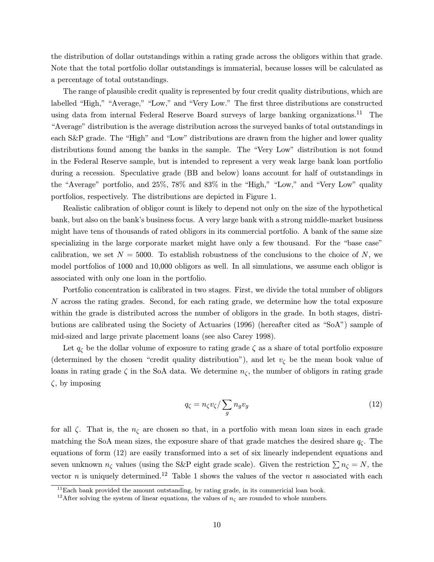the distribution of dollar outstandings within a rating grade across the obligors within that grade. Note that the total portfolio dollar outstandings is immaterial, because losses will be calculated as a percentage of total outstandings.

The range of plausible credit quality is represented by four credit quality distributions, which are labelled "High," "Average," "Low," and "Very Low." The first three distributions are constructed using data from internal Federal Reserve Board surveys of large banking organizations.<sup>11</sup> The "Average" distribution is the average distribution across the surveyed banks of total outstandings in each S&P grade. The "High" and "Low" distributions are drawn from the higher and lower quality distributions found among the banks in the sample. The "Very Low" distribution is not found in the Federal Reserve sample, but is intended to represent a very weak large bank loan portfolio during a recession. Speculative grade (BB and below) loans account for half of outstandings in the "Average" portfolio, and 25%, 78% and 83% in the "High," "Low," and "Very Low" quality portfolios, respectively. The distributions are depicted in Figure 1.

Realistic calibration of obligor count is likely to depend not only on the size of the hypothetical bank, but also on the bank's business focus. A very large bank with a strong middle-market business might have tens of thousands of rated obligors in its commercial portfolio. A bank of the same size specializing in the large corporate market might have only a few thousand. For the "base case" calibration, we set  $N = 5000$ . To establish robustness of the conclusions to the choice of N, we model portfolios of 1000 and 10,000 obligors as well. In all simulations, we assume each obligor is associated with only one loan in the portfolio.

Portfolio concentration is calibrated in two stages. First, we divide the total number of obligors N across the rating grades. Second, for each rating grade, we determine how the total exposure within the grade is distributed across the number of obligors in the grade. In both stages, distributions are calibrated using the Society of Actuaries (1996) (hereafter cited as "SoA") sample of mid-sized and large private placement loans (see also Carey 1998).

Let  $q_{\zeta}$  be the dollar volume of exposure to rating grade  $\zeta$  as a share of total portfolio exposure (determined by the chosen "credit quality distribution"), and let  $v_{\zeta}$  be the mean book value of loans in rating grade  $\zeta$  in the SoA data. We determine  $n_{\zeta}$ , the number of obligors in rating grade  $\zeta$ , by imposing

$$
q_{\zeta} = n_{\zeta} v_{\zeta} / \sum_{g} n_{g} v_{g}
$$
\n<sup>(12)</sup>

for all  $\zeta$ . That is, the  $n_{\zeta}$  are chosen so that, in a portfolio with mean loan sizes in each grade matching the SoA mean sizes, the exposure share of that grade matches the desired share  $q_c$ . The equations of form (12) are easily transformed into a set of six linearly independent equations and seven unknown  $n_{\zeta}$  values (using the S&P eight grade scale). Given the restriction  $\sum n_{\zeta} = N$ , the vector n is uniquely determined.<sup>12</sup> Table 1 shows the values of the vector n associated with each

 $11$ Each bank provided the amount outstanding, by rating grade, in its commericial loan book.

<sup>&</sup>lt;sup>12</sup>After solving the system of linear equations, the values of  $n<sub>\zeta</sub>$  are rounded to whole numbers.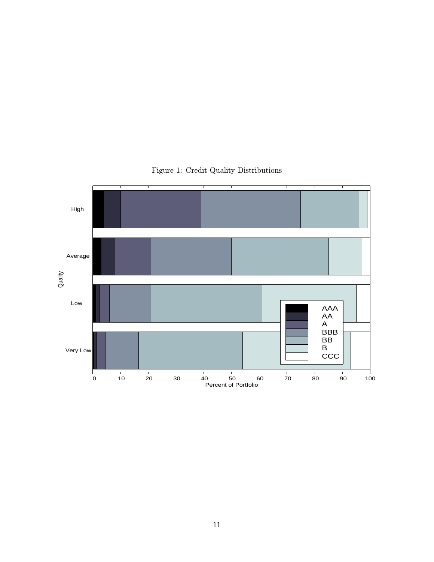

# Figure 1: Credit Quality Distributions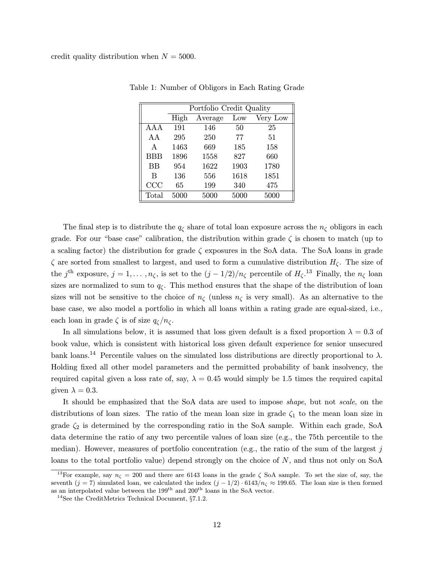|           | Portfolio Credit Quality |         |      |          |  |  |  |
|-----------|--------------------------|---------|------|----------|--|--|--|
|           | High                     | Average | Low  | Very Low |  |  |  |
| A A A     | 191                      | 146     | 50   | 25       |  |  |  |
| AΑ        | 295                      | 250     | 77   | 51       |  |  |  |
| A         | 1463                     | 669     | 185  | 158      |  |  |  |
| BBB       | 1896                     | 1558    | 827  | 660      |  |  |  |
| <b>BB</b> | 954                      | 1622    | 1903 | 1780     |  |  |  |
| B         | 136                      | 556     | 1618 | 1851     |  |  |  |
| CCC       | 65                       | 199     | 340  | 475      |  |  |  |
| Total     | 5000                     | 5000    | 5000 | 5000     |  |  |  |

Table 1: Number of Obligors in Each Rating Grade

The final step is to distribute the  $q_{\zeta}$  share of total loan exposure across the  $n_{\zeta}$  obligors in each grade. For our "base case" calibration, the distribution within grade  $\zeta$  is chosen to match (up to a scaling factor) the distribution for grade  $\zeta$  exposures in the SoA data. The SoA loans in grade  $\zeta$  are sorted from smallest to largest, and used to form a cumulative distribution  $H_{\zeta}$ . The size of the j<sup>th</sup> exposure,  $j = 1, \ldots, n_\zeta$ , is set to the  $(j - 1/2)/n_\zeta$  percentile of  $H_\zeta$ <sup>13</sup> Finally, the  $n_\zeta$  loan sizes are normalized to sum to  $q_{\zeta}$ . This method ensures that the shape of the distribution of loan sizes will not be sensitive to the choice of  $n<sub>\zeta</sub>$  (unless  $n<sub>\zeta</sub>$  is very small). As an alternative to the base case, we also model a portfolio in which all loans within a rating grade are equal-sized, i.e., each loan in grade  $\zeta$  is of size  $q_{\zeta}/n_{\zeta}$ .

In all simulations below, it is assumed that loss given default is a fixed proportion  $\lambda = 0.3$  of book value, which is consistent with historical loss given default experience for senior unsecured bank loans.<sup>14</sup> Percentile values on the simulated loss distributions are directly proportional to  $\lambda$ . Holding fixed all other model parameters and the permitted probability of bank insolvency, the required capital given a loss rate of, say,  $\lambda = 0.45$  would simply be 1.5 times the required capital given  $\lambda = 0.3$ .

It should be emphasized that the SoA data are used to impose shape, but not scale, on the distributions of loan sizes. The ratio of the mean loan size in grade  $\zeta_1$  to the mean loan size in grade  $\zeta_2$  is determined by the corresponding ratio in the SoA sample. Within each grade, SoA data determine the ratio of any two percentile values of loan size (e.g., the 75th percentile to the median). However, measures of portfolio concentration (e.g., the ratio of the sum of the largest  $j$ loans to the total portfolio value) depend strongly on the choice of N, and thus not only on SoA

<sup>&</sup>lt;sup>13</sup>For example, say  $n<sub>\zeta</sub> = 200$  and there are 6143 loans in the grade  $\zeta$  SoA sample. To set the size of, say, the seventh (j = 7) simulated loan, we calculated the index  $(j - 1/2) \cdot 6143/n<sub>\zeta</sub> \approx 199.65$ . The loan size is then formed as an interpolated value between the  $199<sup>th</sup>$  and  $200<sup>th</sup>$  loans in the SoA vector.

 $^{14}$  See the CreditMetrics Technical Document,  $\S 7.1.2.$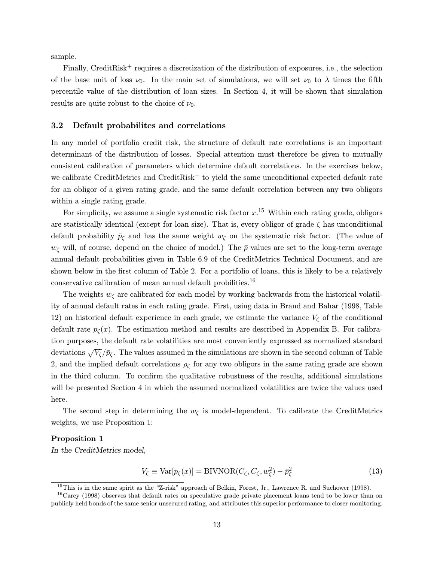sample.

Finally, CreditRisk<sup>+</sup> requires a discretization of the distribution of exposures, i.e., the selection of the base unit of loss  $\nu_0$ . In the main set of simulations, we will set  $\nu_0$  to  $\lambda$  times the fifth percentile value of the distribution of loan sizes. In Section 4, it will be shown that simulation results are quite robust to the choice of  $\nu_0$ .

#### 3.2 Default probabilites and correlations

In any model of portfolio credit risk, the structure of default rate correlations is an important determinant of the distribution of losses. Special attention must therefore be given to mutually consistent calibration of parameters which determine default correlations. In the exercises below, we calibrate CreditMetrics and CreditRisk<sup>+</sup> to yield the same unconditional expected default rate for an obligor of a given rating grade, and the same default correlation between any two obligors within a single rating grade.

For simplicity, we assume a single systematic risk factor  $x^{15}$  Within each rating grade, obligors are statistically identical (except for loan size). That is, every obligor of grade  $\zeta$  has unconditional default probability  $\bar{p}_{\zeta}$  and has the same weight  $w_{\zeta}$  on the systematic risk factor. (The value of  $w_{\zeta}$  will, of course, depend on the choice of model.) The  $\bar{p}$  values are set to the long-term average annual default probabilities given in Table 6.9 of the CreditMetrics Technical Document, and are shown below in the first column of Table 2. For a portfolio of loans, this is likely to be a relatively conservative calibration of mean annual default probilities.<sup>16</sup>

The weights  $w_{\zeta}$  are calibrated for each model by working backwards from the historical volatility of annual default rates in each rating grade. First, using data in Brand and Bahar (1998, Table 12) on historical default experience in each grade, we estimate the variance  $V_{\zeta}$  of the conditional default rate  $p_{\zeta}(x)$ . The estimation method and results are described in Appendix B. For calibration purposes, the default rate volatilities are most conveniently expressed as normalized standard deviations  $\sqrt{V_{\zeta}}/\bar{p}_{\zeta}$ . The values assumed in the simulations are shown in the second column of Table 2, and the implied default correlations  $\rho_{\zeta}$  for any two obligors in the same rating grade are shown in the third column. To confirm the qualitative robustness of the results, additional simulations will be presented Section 4 in which the assumed normalized volatilities are twice the values used here.

The second step in determining the  $w_{\zeta}$  is model-dependent. To calibrate the CreditMetrics weights, we use Proposition 1:

#### Proposition 1

In the CreditMetrics model,

$$
V_{\zeta} \equiv \text{Var}[p_{\zeta}(x)] = \text{BIVNOR}(C_{\zeta}, C_{\zeta}, w_{\zeta}^2) - \bar{p}_{\zeta}^2 \tag{13}
$$

 $^{15}$ This is in the same spirit as the "Z-risk" approach of Belkin, Forest, Jr., Lawrence R. and Suchower (1998).

<sup>16</sup>Carey (1998) observes that default rates on speculative grade private placement loans tend to be lower than on publicly held bonds of the same senior unsecured rating, and attributes this superior performance to closer monitoring.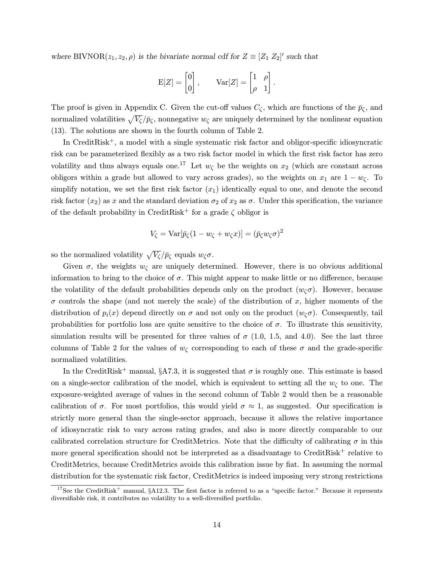where BIVNOR $(z_1, z_2, \rho)$  is the bivariate normal cdf for  $Z \equiv [Z_1 \ Z_2]'$  such that

$$
E[Z] = \begin{bmatrix} 0 \\ 0 \end{bmatrix}, \quad \text{Var}[Z] = \begin{bmatrix} 1 & \rho \\ \rho & 1 \end{bmatrix}.
$$

The proof is given in Appendix C. Given the cut-off values  $C_{\zeta}$ , which are functions of the  $\bar{p}_{\zeta}$ , and normalized volatilities  $\sqrt{V_{\zeta}}/\bar{p}_{\zeta}$ , nonnegative  $w_{\zeta}$  are uniquely determined by the nonlinear equation (13). The solutions are shown in the fourth column of Table 2.

In CreditRisk+, a model with a single systematic risk factor and obligor-specific idiosyncratic risk can be parameterized flexibly as a two risk factor model in which the first risk factor has zero volatility and thus always equals one.<sup>17</sup> Let  $w_{\zeta}$  be the weights on  $x_2$  (which are constant across obligors within a grade but allowed to vary across grades), so the weights on  $x_1$  are  $1 - w_\zeta$ . To simplify notation, we set the first risk factor  $(x_1)$  identically equal to one, and denote the second risk factor  $(x_2)$  as x and the standard deviation  $\sigma_2$  of  $x_2$  as  $\sigma$ . Under this specification, the variance of the default probability in CreditRisk<sup>+</sup> for a grade  $\zeta$  obligor is

$$
V_{\zeta} = \text{Var}[\bar{p}_{\zeta}(1 - w_{\zeta} + w_{\zeta}x)] = (\bar{p}_{\zeta}w_{\zeta}\sigma)^2
$$

so the normalized volatility  $\sqrt{V_{\zeta}}/\bar{p}_{\zeta}$  equals  $w_{\zeta}\sigma$ .

Given  $\sigma$ , the weights  $w_{\zeta}$  are uniquely determined. However, there is no obvious additional information to bring to the choice of  $\sigma$ . This might appear to make little or no difference, because the volatility of the default probabilities depends only on the product  $(w_c \sigma)$ . However, because  $\sigma$  controls the shape (and not merely the scale) of the distribution of x, higher moments of the distribution of  $p_i(x)$  depend directly on  $\sigma$  and not only on the product  $(w_c \sigma)$ . Consequently, tail probabilities for portfolio loss are quite sensitive to the choice of  $\sigma$ . To illustrate this sensitivity, simulation results will be presented for three values of  $\sigma$  (1.0, 1.5, and 4.0). See the last three columns of Table 2 for the values of  $w_{\zeta}$  corresponding to each of these  $\sigma$  and the grade-specific normalized volatilities.

In the CreditRisk<sup>+</sup> manual, §A7.3, it is suggested that  $\sigma$  is roughly one. This estimate is based on a single-sector calibration of the model, which is equivalent to setting all the  $w_{\zeta}$  to one. The exposure-weighted average of values in the second column of Table 2 would then be a reasonable calibration of  $\sigma$ . For most portfolios, this would yield  $\sigma \approx 1$ , as suggested. Our specification is strictly more general than the single-sector approach, because it allows the relative importance of idiosyncratic risk to vary across rating grades, and also is more directly comparable to our calibrated correlation structure for CreditMetrics. Note that the difficulty of calibrating  $\sigma$  in this more general specification should not be interpreted as a disadvantage to CreditRisk<sup>+</sup> relative to CreditMetrics, because CreditMetrics avoids this calibration issue by fiat. In assuming the normal distribution for the systematic risk factor, CreditMetrics is indeed imposing very strong restrictions

<sup>&</sup>lt;sup>17</sup>See the CreditRisk<sup>+</sup> manual, §A12.3. The first factor is referred to as a "specific factor." Because it represents diversifiable risk, it contributes no volatility to a well-diversified portfolio.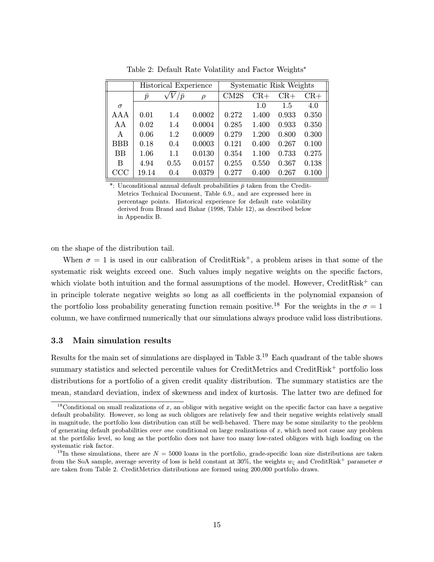|            |           | Historical Experience |        | Systematic Risk Weights |       |       |       |  |
|------------|-----------|-----------------------|--------|-------------------------|-------|-------|-------|--|
|            | $\bar{p}$ | $'\bar{p}$            | $\rho$ | CM2S                    | $CR+$ | $CR+$ | $CR+$ |  |
| $\sigma$   |           |                       |        |                         | 1.0   | 1.5   | 4.0   |  |
| AAA        | 0.01      | 1.4                   | 0.0002 | 0.272                   | 1.400 | 0.933 | 0.350 |  |
| AA         | 0.02      | 1.4                   | 0.0004 | 0.285                   | 1.400 | 0.933 | 0.350 |  |
| A          | 0.06      | 1.2                   | 0.0009 | 0.279                   | 1.200 | 0.800 | 0.300 |  |
| <b>BBB</b> | 0.18      | 0.4                   | 0.0003 | 0.121                   | 0.400 | 0.267 | 0.100 |  |
| BB         | 1.06      | 1.1                   | 0.0130 | 0.354                   | 1.100 | 0.733 | 0.275 |  |
| B          | 4.94      | 0.55                  | 0.0157 | 0.255                   | 0.550 | 0.367 | 0.138 |  |
| CCC        | 19.14     | 0.4                   | 0.0379 | 0.277                   | 0.400 | 0.267 | 0.100 |  |

Table 2: Default Rate Volatility and Factor Weights<sup>∗</sup>

\*: Unconditional annual default probabilities  $\bar{p}$  taken from the Credit-Metrics Technical Document, Table 6.9., and are expressed here in percentage points. Historical experience for default rate volatility derived from Brand and Bahar (1998, Table 12), as described below in Appendix B.

on the shape of the distribution tail.

When  $\sigma = 1$  is used in our calibration of CreditRisk<sup>+</sup>, a problem arises in that some of the systematic risk weights exceed one. Such values imply negative weights on the specific factors, which violate both intuition and the formal assumptions of the model. However, CreditRisk<sup>+</sup> can in principle tolerate negative weights so long as all coefficients in the polynomial expansion of the portfolio loss probability generating function remain positive.<sup>18</sup> For the weights in the  $\sigma = 1$ column, we have confirmed numerically that our simulations always produce valid loss distributions.

#### 3.3 Main simulation results

Results for the main set of simulations are displayed in Table 3.<sup>19</sup> Each quadrant of the table shows summary statistics and selected percentile values for CreditMetrics and CreditRisk<sup>+</sup> portfolio loss distributions for a portfolio of a given credit quality distribution. The summary statistics are the mean, standard deviation, index of skewness and index of kurtosis. The latter two are defined for

<sup>&</sup>lt;sup>18</sup>Conditional on small realizations of x, an obligor with negative weight on the specific factor can have a negative default probability. However, so long as such obligors are relatively few and their negative weights relatively small in magnitude, the portfolio loss distribution can still be well-behaved. There may be some similarity to the problem of generating default probabilities over one conditional on large realizations of  $x$ , which need not cause any problem at the portfolio level, so long as the portfolio does not have too many low-rated obligors with high loading on the systematic risk factor.

<sup>&</sup>lt;sup>19</sup>In these simulations, there are  $N = 5000$  loans in the portfolio, grade-specific loan size distributions are taken from the SoA sample, average severity of loss is held constant at 30%, the weights  $w_{\zeta}$  and CreditRisk<sup>+</sup> parameter  $\sigma$ are taken from Table 2. CreditMetrics distributions are formed using 200,000 portfolio draws.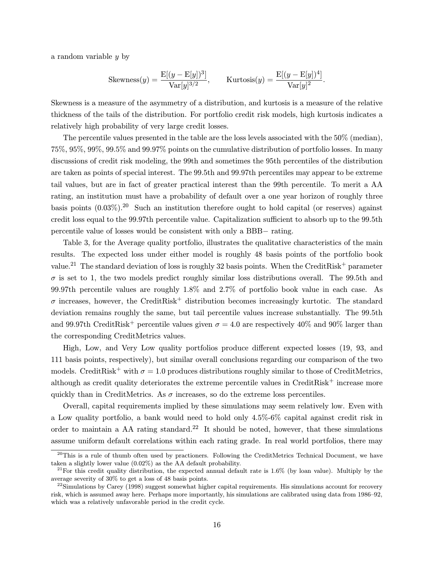a random variable y by

Skewness
$$
(y)
$$
 =  $\frac{\mathcal{E}[(y - \mathcal{E}[y])^3]}{\text{Var}[y]^{3/2}}$ ,  $\text{Kurtosis}(y) = \frac{\mathcal{E}[(y - \mathcal{E}[y])^4]}{\text{Var}[y]^2}$ .

Skewness is a measure of the asymmetry of a distribution, and kurtosis is a measure of the relative thickness of the tails of the distribution. For portfolio credit risk models, high kurtosis indicates a relatively high probability of very large credit losses.

The percentile values presented in the table are the loss levels associated with the 50% (median), 75%, 95%, 99%, 99.5% and 99.97% points on the cumulative distribution of portfolio losses. In many discussions of credit risk modeling, the 99th and sometimes the 95th percentiles of the distribution are taken as points of special interest. The 99.5th and 99.97th percentiles may appear to be extreme tail values, but are in fact of greater practical interest than the 99th percentile. To merit a AA rating, an institution must have a probability of default over a one year horizon of roughly three basis points (0.03%).<sup>20</sup> Such an institution therefore ought to hold capital (or reserves) against credit loss equal to the 99.97th percentile value. Capitalization sufficient to absorb up to the 99.5th percentile value of losses would be consistent with only a BBB− rating.

Table 3, for the Average quality portfolio, illustrates the qualitative characteristics of the main results. The expected loss under either model is roughly 48 basis points of the portfolio book value.<sup>21</sup> The standard deviation of loss is roughly 32 basis points. When the CreditRisk<sup>+</sup> parameter  $\sigma$  is set to 1, the two models predict roughly similar loss distributions overall. The 99.5th and 99.97th percentile values are roughly 1.8% and 2.7% of portfolio book value in each case. As  $\sigma$  increases, however, the CreditRisk<sup>+</sup> distribution becomes increasingly kurtotic. The standard deviation remains roughly the same, but tail percentile values increase substantially. The 99.5th and 99.97th CreditRisk<sup>+</sup> percentile values given  $\sigma = 4.0$  are respectively 40% and 90% larger than the corresponding CreditMetrics values.

High, Low, and Very Low quality portfolios produce different expected losses (19, 93, and 111 basis points, respectively), but similar overall conclusions regarding our comparison of the two models. CreditRisk<sup>+</sup> with  $\sigma = 1.0$  produces distributions roughly similar to those of CreditMetrics, although as credit quality deteriorates the extreme percentile values in  $C$ redit $Risk^+$  increase more quickly than in CreditMetrics. As  $\sigma$  increases, so do the extreme loss percentiles.

Overall, capital requirements implied by these simulations may seem relatively low. Even with a Low quality portfolio, a bank would need to hold only 4.5%-6% capital against credit risk in order to maintain a AA rating standard.<sup>22</sup> It should be noted, however, that these simulations assume uniform default correlations within each rating grade. In real world portfolios, there may

 $^{20}$ This is a rule of thumb often used by practioners. Following the CreditMetrics Technical Document, we have taken a slightly lower value (0.02%) as the AA default probability.

<sup>&</sup>lt;sup>21</sup>For this credit quality distribution, the expected annual default rate is  $1.6\%$  (by loan value). Multiply by the average severity of 30% to get a loss of 48 basis points.

 $^{22}$ Simulations by Carey (1998) suggest somewhat higher capital requirements. His simulations account for recovery risk, which is assumed away here. Perhaps more importantly, his simulations are calibrated using data from 1986–92, which was a relatively unfavorable period in the credit cycle.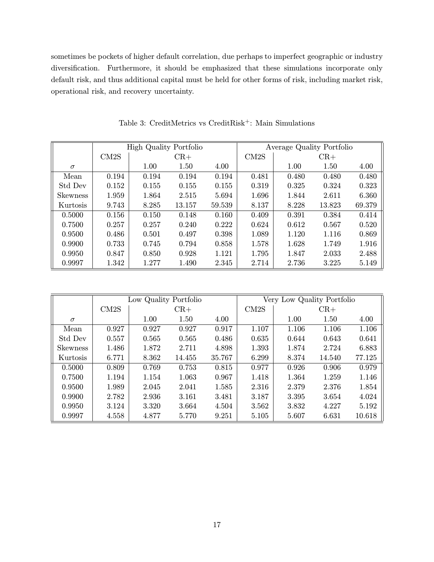sometimes be pockets of higher default correlation, due perhaps to imperfect geographic or industry diversification. Furthermore, it should be emphasized that these simulations incorporate only default risk, and thus additional capital must be held for other forms of risk, including market risk, operational risk, and recovery uncertainty.

|                 | <b>High Quality Portfolio</b> |       |        |        | Average Quality Portfolio |       |        |        |
|-----------------|-------------------------------|-------|--------|--------|---------------------------|-------|--------|--------|
|                 | CM <sub>2</sub> S             |       | $CR+$  |        | CM <sub>2</sub> S         |       | $CR+$  |        |
| $\sigma$        |                               | 1.00  | 1.50   | 4.00   |                           | 1.00  | 1.50   | 4.00   |
| Mean            | 0.194                         | 0.194 | 0.194  | 0.194  | 0.481                     | 0.480 | 0.480  | 0.480  |
| Std Dev         | 0.152                         | 0.155 | 0.155  | 0.155  | 0.319                     | 0.325 | 0.324  | 0.323  |
| <b>Skewness</b> | 1.959                         | 1.864 | 2.515  | 5.694  | 1.696                     | 1.844 | 2.611  | 6.360  |
| Kurtosis        | 9.743                         | 8.285 | 13.157 | 59.539 | 8.137                     | 8.228 | 13.823 | 69.379 |
| 0.5000          | 0.156                         | 0.150 | 0.148  | 0.160  | 0.409                     | 0.391 | 0.384  | 0.414  |
| 0.7500          | 0.257                         | 0.257 | 0.240  | 0.222  | 0.624                     | 0.612 | 0.567  | 0.520  |
| 0.9500          | 0.486                         | 0.501 | 0.497  | 0.398  | 1.089                     | 1.120 | 1.116  | 0.869  |
| 0.9900          | 0.733                         | 0.745 | 0.794  | 0.858  | 1.578                     | 1.628 | 1.749  | 1.916  |
| 0.9950          | 0.847                         | 0.850 | 0.928  | 1.121  | 1.795                     | 1.847 | 2.033  | 2.488  |
| 0.9997          | 1.342                         | 1.277 | 1.490  | 2.345  | 2.714                     | 2.736 | 3.225  | 5.149  |

Table 3: CreditMetrics vs CreditRisk<sup>+</sup>: Main Simulations

|                 |       | Low Quality Portfolio |        |        |       | Very Low Quality Portfolio |        |        |  |
|-----------------|-------|-----------------------|--------|--------|-------|----------------------------|--------|--------|--|
|                 | CM2S  |                       | $CR+$  |        |       |                            | $CR+$  |        |  |
| $\sigma$        |       | 1.00                  | 1.50   | 4.00   |       | 1.00                       | 1.50   | 4.00   |  |
| Mean            | 0.927 | 0.927                 | 0.927  | 0.917  | 1.107 | 1.106                      | 1.106  | 1.106  |  |
| Std Dev         | 0.557 | 0.565                 | 0.565  | 0.486  | 0.635 | 0.644                      | 0.643  | 0.641  |  |
| <b>Skewness</b> | 1.486 | 1.872                 | 2.711  | 4.898  | 1.393 | 1.874                      | 2.724  | 6.883  |  |
| Kurtosis        | 6.771 | 8.362                 | 14.455 | 35.767 | 6.299 | 8.374                      | 14.540 | 77.125 |  |
| 0.5000          | 0.809 | 0.769                 | 0.753  | 0.815  | 0.977 | 0.926                      | 0.906  | 0.979  |  |
| 0.7500          | 1.194 | 1.154                 | 1.063  | 0.967  | 1.418 | 1.364                      | 1.259  | 1.146  |  |
| 0.9500          | 1.989 | 2.045                 | 2.041  | 1.585  | 2.316 | 2.379                      | 2.376  | 1.854  |  |
| 0.9900          | 2.782 | 2.936                 | 3.161  | 3.481  | 3.187 | 3.395                      | 3.654  | 4.024  |  |
| 0.9950          | 3.124 | 3.320                 | 3.664  | 4.504  | 3.562 | 3.832                      | 4.227  | 5.192  |  |
| 0.9997          | 4.558 | 4.877                 | 5.770  | 9.251  | 5.105 | 5.607                      | 6.631  | 10.618 |  |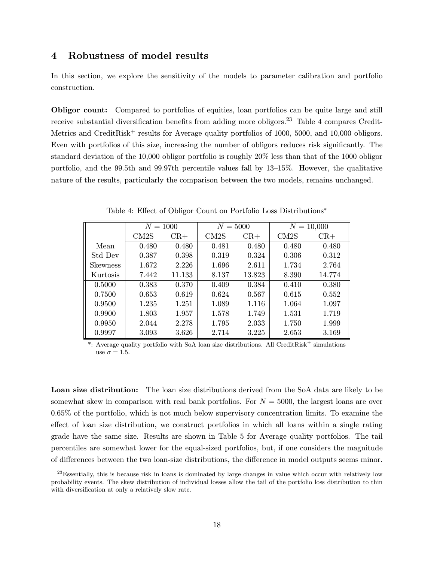# 4 Robustness of model results

In this section, we explore the sensitivity of the models to parameter calibration and portfolio construction.

Obligor count: Compared to portfolios of equities, loan portfolios can be quite large and still receive substantial diversification benefits from adding more obligors.<sup>23</sup> Table 4 compares Credit-Metrics and CreditRisk<sup>+</sup> results for Average quality portfolios of 1000, 5000, and 10,000 obligors. Even with portfolios of this size, increasing the number of obligors reduces risk significantly. The standard deviation of the 10,000 obligor portfolio is roughly 20% less than that of the 1000 obligor portfolio, and the 99.5th and 99.97th percentile values fall by 13–15%. However, the qualitative nature of the results, particularly the comparison between the two models, remains unchanged.

|                 | $N = 1000$        |        | $N = 5000$        |        | $N = 10,000$      |        |
|-----------------|-------------------|--------|-------------------|--------|-------------------|--------|
|                 | CM <sub>2</sub> S | $CR+$  | CM <sub>2</sub> S | $CR+$  | CM <sub>2</sub> S | $CR+$  |
| Mean            | 0.480             | 0.480  | 0.481             | 0.480  | 0.480             | 0.480  |
| Std Dev         | 0.387             | 0.398  | 0.319             | 0.324  | 0.306             | 0.312  |
| <b>Skewness</b> | 1.672             | 2.226  | 1.696             | 2.611  | 1.734             | 2.764  |
| Kurtosis        | 7.442             | 11.133 | 8.137             | 13.823 | 8.390             | 14.774 |
| 0.5000          | 0.383             | 0.370  | 0.409             | 0.384  | 0.410             | 0.380  |
| 0.7500          | 0.653             | 0.619  | 0.624             | 0.567  | 0.615             | 0.552  |
| 0.9500          | 1.235             | 1.251  | 1.089             | 1.116  | 1.064             | 1.097  |
| 0.9900          | 1.803             | 1.957  | 1.578             | 1.749  | 1.531             | 1.719  |
| 0.9950          | 2.044             | 2.278  | 1.795             | 2.033  | 1.750             | 1.999  |
| 0.9997          | 3.093             | 3.626  | 2.714             | 3.225  | 2.653             | 3.169  |

Table 4: Effect of Obligor Count on Portfolio Loss Distributions<sup>∗</sup>

\*: Average quality portfolio with SoA loan size distributions. All CreditRisk<sup>+</sup> simulations use  $\sigma = 1.5$ .

Loan size distribution: The loan size distributions derived from the SoA data are likely to be somewhat skew in comparison with real bank portfolios. For  $N = 5000$ , the largest loans are over 0.65% of the portfolio, which is not much below supervisory concentration limits. To examine the effect of loan size distribution, we construct portfolios in which all loans within a single rating grade have the same size. Results are shown in Table 5 for Average quality portfolios. The tail percentiles are somewhat lower for the equal-sized portfolios, but, if one considers the magnitude of differences between the two loan-size distributions, the difference in model outputs seems minor.

 $^{23}$ Essentially, this is because risk in loans is dominated by large changes in value which occur with relatively low probability events. The skew distribution of individual losses allow the tail of the portfolio loss distribution to thin with diversification at only a relatively slow rate.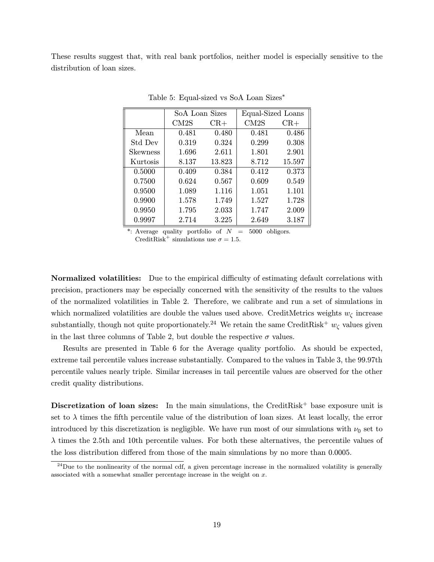These results suggest that, with real bank portfolios, neither model is especially sensitive to the distribution of loan sizes.

|                 | SoA Loan Sizes |        | Equal-Sized Loans |        |
|-----------------|----------------|--------|-------------------|--------|
|                 | CM2S           | $CR+$  | CM2S              | $CR+$  |
| Mean            | 0.481          | 0.480  | 0.481             | 0.486  |
| Std Dev         | 0.319          | 0.324  | 0.299             | 0.308  |
| <b>Skewness</b> | 1.696          | 2.611  | 1.801             | 2.901  |
| Kurtosis        | 8.137          | 13.823 | 8.712             | 15.597 |
| 0.5000          | 0.409          | 0.384  | 0.412             | 0.373  |
| 0.7500          | 0.624          | 0.567  | 0.609             | 0.549  |
| 0.9500          | 1.089          | 1.116  | 1.051             | 1.101  |
| 0.9900          | 1.578          | 1.749  | 1.527             | 1.728  |
| 0.9950          | 1.795          | 2.033  | 1.747             | 2.009  |
| 0.9997          | 2.714          | 3.225  | 2.649             | 3.187  |

Table 5: Equal-sized vs SoA Loan Sizes<sup>∗</sup>

\*: Average quality portfolio of  $N = 5000$  obligors. CreditRisk<sup>+</sup> simulations use  $\sigma = 1.5$ .

Normalized volatilities: Due to the empirical difficulty of estimating default correlations with precision, practioners may be especially concerned with the sensitivity of the results to the values of the normalized volatilities in Table 2. Therefore, we calibrate and run a set of simulations in which normalized volatilities are double the values used above. CreditMetrics weights  $w_{\zeta}$  increase substantially, though not quite proportionately.<sup>24</sup> We retain the same CreditRisk<sup>+</sup>  $w_{\zeta}$  values given in the last three columns of Table 2, but double the respective  $\sigma$  values.

Results are presented in Table 6 for the Average quality portfolio. As should be expected, extreme tail percentile values increase substantially. Compared to the values in Table 3, the 99.97th percentile values nearly triple. Similar increases in tail percentile values are observed for the other credit quality distributions.

Discretization of loan sizes: In the main simulations, the CreditRisk<sup>+</sup> base exposure unit is set to  $\lambda$  times the fifth percentile value of the distribution of loan sizes. At least locally, the error introduced by this discretization is negligible. We have run most of our simulations with  $\nu_0$  set to  $\lambda$  times the 2.5th and 10th percentile values. For both these alternatives, the percentile values of the loss distribution differed from those of the main simulations by no more than 0.0005.

 $^{24}$ Due to the nonlinearity of the normal cdf, a given percentage increase in the normalized volatility is generally associated with a somewhat smaller percentage increase in the weight on x.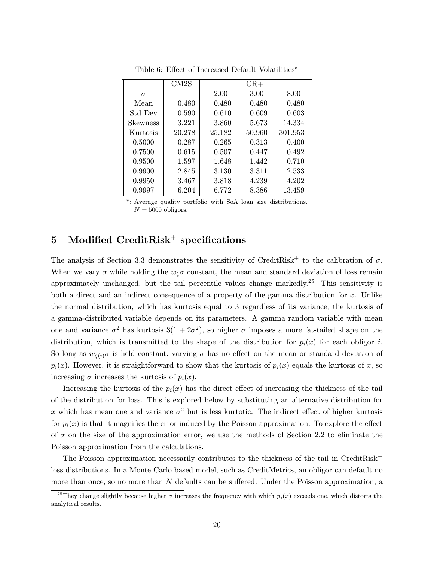|          | CM2S   |        | $CR+$  |         |
|----------|--------|--------|--------|---------|
| $\sigma$ |        | 2.00   | 3.00   | 8.00    |
| Mean     | 0.480  | 0.480  | 0.480  | 0.480   |
| Std Dev  | 0.590  | 0.610  | 0.609  | 0.603   |
| Skewness | 3.221  | 3.860  | 5.673  | 14.334  |
| Kurtosis | 20.278 | 25.182 | 50.960 | 301.953 |
| 0.5000   | 0.287  | 0.265  | 0.313  | 0.400   |
| 0.7500   | 0.615  | 0.507  | 0.447  | 0.492   |
| 0.9500   | 1.597  | 1.648  | 1.442  | 0.710   |
| 0.9900   | 2.845  | 3.130  | 3.311  | 2.533   |
| 0.9950   | 3.467  | 3.818  | 4.239  | 4.202   |
| 0.9997   | 6.204  | 6.772  | 8.386  | 13.459  |

Table 6: Effect of Increased Default Volatilities<sup>∗</sup>

Average quality portfolio with SoA loan size distributions.  $N = 5000$  obligors.

# 5 Modified CreditRisk<sup>+</sup> specifications

The analysis of Section 3.3 demonstrates the sensitivity of CreditRisk<sup>+</sup> to the calibration of  $\sigma$ . When we vary  $\sigma$  while holding the  $w_c\sigma$  constant, the mean and standard deviation of loss remain approximately unchanged, but the tail percentile values change markedly.<sup>25</sup> This sensitivity is both a direct and an indirect consequence of a property of the gamma distribution for  $x$ . Unlike the normal distribution, which has kurtosis equal to 3 regardless of its variance, the kurtosis of a gamma-distributed variable depends on its parameters. A gamma random variable with mean one and variance  $\sigma^2$  has kurtosis  $3(1+2\sigma^2)$ , so higher  $\sigma$  imposes a more fat-tailed shape on the distribution, which is transmitted to the shape of the distribution for  $p_i(x)$  for each obligor i. So long as  $w_{\zeta(i)}\sigma$  is held constant, varying  $\sigma$  has no effect on the mean or standard deviation of  $p_i(x)$ . However, it is straightforward to show that the kurtosis of  $p_i(x)$  equals the kurtosis of x, so increasing  $\sigma$  increases the kurtosis of  $p_i(x)$ .

Increasing the kurtosis of the  $p_i(x)$  has the direct effect of increasing the thickness of the tail of the distribution for loss. This is explored below by substituting an alternative distribution for x which has mean one and variance  $\sigma^2$  but is less kurtotic. The indirect effect of higher kurtosis for  $p_i(x)$  is that it magnifies the error induced by the Poisson approximation. To explore the effect of  $\sigma$  on the size of the approximation error, we use the methods of Section 2.2 to eliminate the Poisson approximation from the calculations.

The Poisson approximation necessarily contributes to the thickness of the tail in CreditRisk<sup>+</sup> loss distributions. In a Monte Carlo based model, such as CreditMetrics, an obligor can default no more than once, so no more than  $N$  defaults can be suffered. Under the Poisson approximation, a

<sup>&</sup>lt;sup>25</sup>They change slightly because higher  $\sigma$  increases the frequency with which  $p_i(x)$  exceeds one, which distorts the analytical results.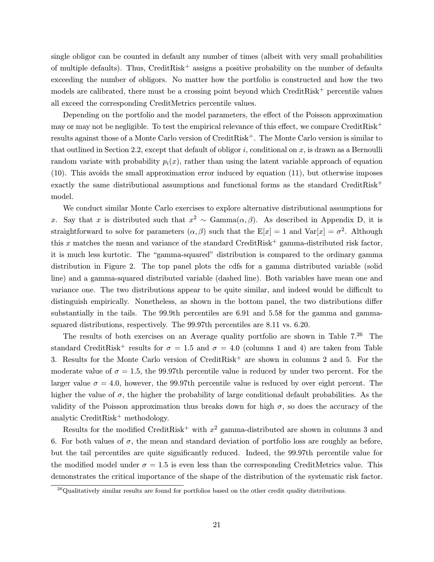single obligor can be counted in default any number of times (albeit with very small probabilities of multiple defaults). Thus,  $C$ reditRisk<sup>+</sup> assigns a positive probability on the number of defaults exceeding the number of obligors. No matter how the portfolio is constructed and how the two models are calibrated, there must be a crossing point beyond which  $CreditRisk^+$  percentile values all exceed the corresponding CreditMetrics percentile values.

Depending on the portfolio and the model parameters, the effect of the Poisson approximation may or may not be negligible. To test the empirical relevance of this effect, we compare CreditRisk<sup>+</sup> results against those of a Monte Carlo version of CreditRisk+. The Monte Carlo version is similar to that outlined in Section 2.2, except that default of obligor  $i$ , conditional on  $x$ , is drawn as a Bernoulli random variate with probability  $p_i(x)$ , rather than using the latent variable approach of equation (10). This avoids the small approximation error induced by equation (11), but otherwise imposes exactly the same distributional assumptions and functional forms as the standard CreditRisk<sup>+</sup> model.

We conduct similar Monte Carlo exercises to explore alternative distributional assumptions for x. Say that x is distributed such that  $x^2 \sim \text{Gamma}(\alpha, \beta)$ . As described in Appendix D, it is straightforward to solve for parameters  $(\alpha, \beta)$  such that the  $E[x] = 1$  and  $Var[x] = \sigma^2$ . Although this x matches the mean and variance of the standard CreditRisk<sup>+</sup> gamma-distributed risk factor, it is much less kurtotic. The "gamma-squared" distribution is compared to the ordinary gamma distribution in Figure 2. The top panel plots the cdfs for a gamma distributed variable (solid line) and a gamma-squared distributed variable (dashed line). Both variables have mean one and variance one. The two distributions appear to be quite similar, and indeed would be difficult to distinguish empirically. Nonetheless, as shown in the bottom panel, the two distributions differ substantially in the tails. The 99.9th percentiles are 6.91 and 5.58 for the gamma and gammasquared distributions, respectively. The 99.97th percentiles are 8.11 vs. 6.20.

The results of both exercises on an Average quality portfolio are shown in Table  $7.^{26}$  The standard CreditRisk<sup>+</sup> results for  $\sigma = 1.5$  and  $\sigma = 4.0$  (columns 1 and 4) are taken from Table 3. Results for the Monte Carlo version of  $CreditRisk^+$  are shown in columns 2 and 5. For the moderate value of  $\sigma = 1.5$ , the 99.97th percentile value is reduced by under two percent. For the larger value  $\sigma = 4.0$ , however, the 99.97th percentile value is reduced by over eight percent. The higher the value of  $\sigma$ , the higher the probability of large conditional default probabilities. As the validity of the Poisson approximation thus breaks down for high  $\sigma$ , so does the accuracy of the analytic CreditRisk<sup>+</sup> methodology.

Results for the modified CreditRisk<sup>+</sup> with  $x^2$  gamma-distributed are shown in columns 3 and 6. For both values of  $\sigma$ , the mean and standard deviation of portfolio loss are roughly as before, but the tail percentiles are quite significantly reduced. Indeed, the 99.97th percentile value for the modified model under  $\sigma = 1.5$  is even less than the corresponding CreditMetrics value. This demonstrates the critical importance of the shape of the distribution of the systematic risk factor.

<sup>&</sup>lt;sup>26</sup>Qualitatively similar results are found for portfolios based on the other credit quality distributions.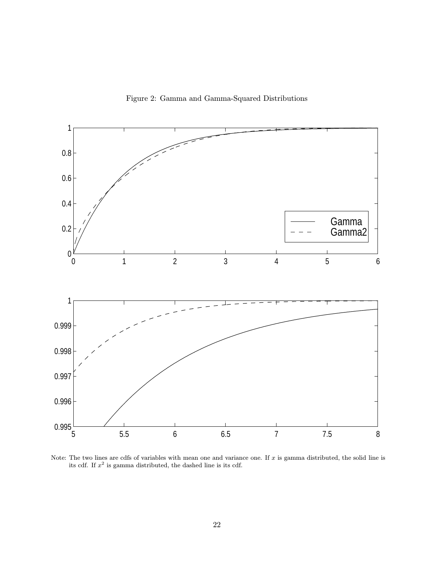Figure 2: Gamma and Gamma-Squared Distributions



Note: The two lines are cdfs of variables with mean one and variance one. If  $x$  is gamma distributed, the solid line is its cdf. If  $x^2$  is gamma distributed, the dashed line is its cdf.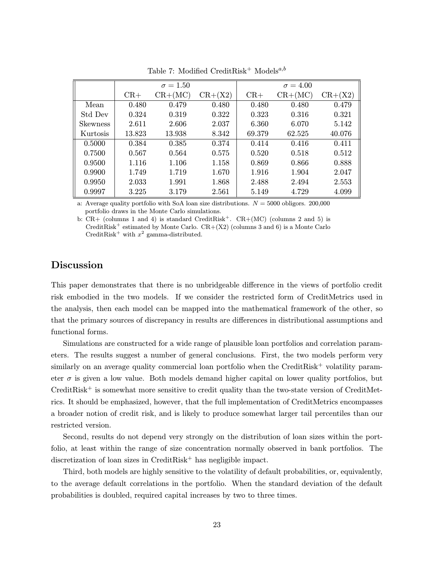|                 |        | $\sigma = 1.50$ |           |        | $\sigma = 4.00$ |           |
|-----------------|--------|-----------------|-----------|--------|-----------------|-----------|
|                 | $CR+$  | $CR+(MC)$       | $CR+(X2)$ | $CR+$  | $CR+(MC)$       | $CR+(X2)$ |
| Mean            | 0.480  | 0.479           | 0.480     | 0.480  | 0.480           | 0.479     |
| Std Dev         | 0.324  | 0.319           | 0.322     | 0.323  | 0.316           | 0.321     |
| <b>Skewness</b> | 2.611  | 2.606           | 2.037     | 6.360  | 6.070           | 5.142     |
| Kurtosis        | 13.823 | 13.938          | 8.342     | 69.379 | 62.525          | 40.076    |
| 0.5000          | 0.384  | 0.385           | 0.374     | 0.414  | 0.416           | 0.411     |
| 0.7500          | 0.567  | 0.564           | 0.575     | 0.520  | 0.518           | 0.512     |
| 0.9500          | 1.116  | 1.106           | 1.158     | 0.869  | 0.866           | 0.888     |
| 0.9900          | 1.749  | 1.719           | 1.670     | 1.916  | 1.904           | 2.047     |
| 0.9950          | 2.033  | 1.991           | 1.868     | 2.488  | 2.494           | 2.553     |
| 0.9997          | 3.225  | 3.179           | 2.561     | 5.149  | 4.729           | 4.099     |

Table 7: Modified CreditRisk<sup>+</sup> Models<sup>a,b</sup>

a: Average quality portfolio with SoA loan size distributions.  $N = 5000$  obligors. 200,000 portfolio draws in the Monte Carlo simulations.

b:  $CR+$  (columns 1 and 4) is standard CreditRisk<sup>+</sup>.  $CR+(MC)$  (columns 2 and 5) is CreditRisk<sup>+</sup> estimated by Monte Carlo.  $CR+(X2)$  (columns 3 and 6) is a Monte Carlo CreditRisk<sup>+</sup> with  $x^2$  gamma-distributed.

# Discussion

This paper demonstrates that there is no unbridgeable difference in the views of portfolio credit risk embodied in the two models. If we consider the restricted form of CreditMetrics used in the analysis, then each model can be mapped into the mathematical framework of the other, so that the primary sources of discrepancy in results are differences in distributional assumptions and functional forms.

Simulations are constructed for a wide range of plausible loan portfolios and correlation parameters. The results suggest a number of general conclusions. First, the two models perform very similarly on an average quality commercial loan portfolio when the CreditRisk<sup>+</sup> volatility parameter  $\sigma$  is given a low value. Both models demand higher capital on lower quality portfolios, but  $CreditRisk<sup>+</sup>$  is somewhat more sensitive to credit quality than the two-state version of  $CreditMet$ rics. It should be emphasized, however, that the full implementation of CreditMetrics encompasses a broader notion of credit risk, and is likely to produce somewhat larger tail percentiles than our restricted version.

Second, results do not depend very strongly on the distribution of loan sizes within the portfolio, at least within the range of size concentration normally observed in bank portfolios. The discretization of loan sizes in  $CreditRisk^+$  has negligible impact.

Third, both models are highly sensitive to the volatility of default probabilities, or, equivalently, to the average default correlations in the portfolio. When the standard deviation of the default probabilities is doubled, required capital increases by two to three times.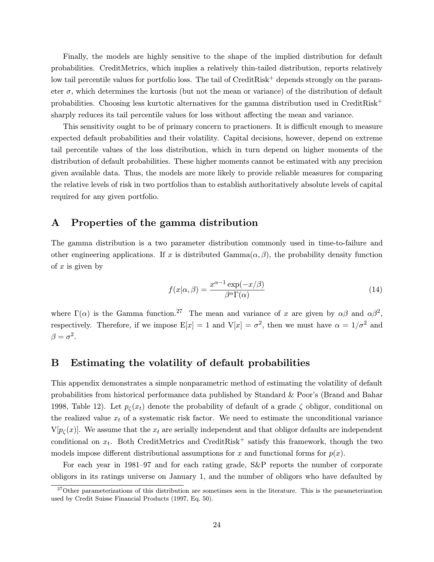Finally, the models are highly sensitive to the shape of the implied distribution for default probabilities. CreditMetrics, which implies a relatively thin-tailed distribution, reports relatively low tail percentile values for portfolio loss. The tail of CreditRisk<sup>+</sup> depends strongly on the parameter  $\sigma$ , which determines the kurtosis (but not the mean or variance) of the distribution of default probabilities. Choosing less kurtotic alternatives for the gamma distribution used in CreditRisk<sup>+</sup> sharply reduces its tail percentile values for loss without affecting the mean and variance.

This sensitivity ought to be of primary concern to practioners. It is difficult enough to measure expected default probabilities and their volatility. Capital decisions, however, depend on extreme tail percentile values of the loss distribution, which in turn depend on higher moments of the distribution of default probabilities. These higher moments cannot be estimated with any precision given available data. Thus, the models are more likely to provide reliable measures for comparing the relative levels of risk in two portfolios than to establish authoritatively absolute levels of capital required for any given portfolio.

## A Properties of the gamma distribution

The gamma distribution is a two parameter distribution commonly used in time-to-failure and other engineering applications. If x is distributed  $Gamma(\alpha, \beta)$ , the probability density function of  $x$  is given by

$$
f(x|\alpha, \beta) = \frac{x^{\alpha - 1} \exp(-x/\beta)}{\beta^{\alpha} \Gamma(\alpha)}
$$
(14)

where  $\Gamma(\alpha)$  is the Gamma function.<sup>27</sup> The mean and variance of x are given by  $\alpha\beta$  and  $\alpha\beta^2$ , respectively. Therefore, if we impose  $E[x] = 1$  and  $V[x] = \sigma^2$ , then we must have  $\alpha = 1/\sigma^2$  and  $\beta = \sigma^2$ .

# B Estimating the volatility of default probabilities

This appendix demonstrates a simple nonparametric method of estimating the volatility of default probabilities from historical performance data published by Standard & Poor's (Brand and Bahar 1998, Table 12). Let  $p_c(x_t)$  denote the probability of default of a grade  $\zeta$  obligor, conditional on the realized value  $x_t$  of a systematic risk factor. We need to estimate the unconditional variance  $V[p_{\zeta}(x)]$ . We assume that the  $x_t$  are serially independent and that obligor defaults are independent conditional on  $x_t$ . Both CreditMetrics and CreditRisk<sup>+</sup> satisfy this framework, though the two models impose different distributional assumptions for x and functional forms for  $p(x)$ .

For each year in 1981–97 and for each rating grade, S&P reports the number of corporate obligors in its ratings universe on January 1, and the number of obligors who have defaulted by

 $27$ Other parameterizations of this distribution are sometimes seen in the literature. This is the parameterization used by Credit Suisse Financial Products (1997, Eq. 50).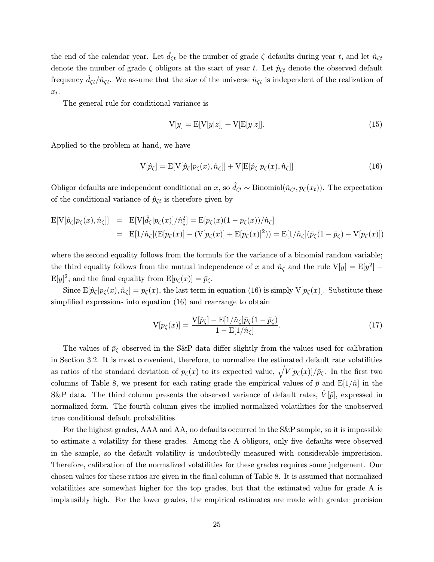the end of the calendar year. Let  $\hat{d}_{\zeta t}$  be the number of grade  $\zeta$  defaults during year t, and let  $\hat{n}_{\zeta t}$ denote the number of grade  $\zeta$  obligors at the start of year t. Let  $\hat{p}_{\zeta t}$  denote the observed default frequency  $\hat{d}_{\zeta t}/\hat{n}_{\zeta t}$ . We assume that the size of the universe  $\hat{n}_{\zeta t}$  is independent of the realization of  $x_t$ .

The general rule for conditional variance is

$$
V[y] = E[V[y|z]] + V[E[y|z]].
$$
\n(15)

Applied to the problem at hand, we have

$$
V[\hat{p}_{\zeta}] = E[V[\hat{p}_{\zeta}|p_{\zeta}(x), \hat{n}_{\zeta}]] + V[E[\hat{p}_{\zeta}|p_{\zeta}(x), \hat{n}_{\zeta}]] \qquad (16)
$$

Obligor defaults are independent conditional on x, so  $\hat{d}_{\zeta t} \sim \text{Binomial}(\hat{n}_{\zeta t}, p_{\zeta}(x_t)).$  The expectation of the conditional variance of  $\hat{p}_{\zeta t}$  is therefore given by

$$
E[V[\hat{p}_{\zeta}|p_{\zeta}(x),\hat{n}_{\zeta}]] = E[V[\hat{d}_{\zeta}|p_{\zeta}(x)]/\hat{n}_{\zeta}^2] = E[p_{\zeta}(x)(1 - p_{\zeta}(x))/\hat{n}_{\zeta}]
$$
  
= 
$$
E[1/\hat{n}_{\zeta}](E[p_{\zeta}(x)] - (V[p_{\zeta}(x)] + E[p_{\zeta}(x)]^2)) = E[1/\hat{n}_{\zeta}](\bar{p}_{\zeta}(1 - \bar{p}_{\zeta}) - V[p_{\zeta}(x)])
$$

where the second equality follows from the formula for the variance of a binomial random variable; the third equality follows from the mutual independence of x and  $\hat{n}_{\zeta}$  and the rule V[y] = E[y<sup>2</sup>] –  $E[y]^2$ ; and the final equality from  $E[p_\zeta(x)] = \bar{p}_\zeta$ .

Since  $E[\hat{p}_{\zeta}|p_{\zeta}(x),\hat{n}_{\zeta}] = p_{\zeta}(x)$ , the last term in equation (16) is simply  $V[p_{\zeta}(x)]$ . Substitute these simplified expressions into equation (16) and rearrange to obtain

$$
V[p_{\zeta}(x)] = \frac{V[\hat{p}_{\zeta}] - E[1/\hat{n}_{\zeta}]\bar{p}_{\zeta}(1 - \bar{p}_{\zeta})}{1 - E[1/\hat{n}_{\zeta}]}.
$$
\n(17)

The values of  $\bar{p}_{\zeta}$  observed in the S&P data differ slightly from the values used for calibration in Section 3.2. It is most convenient, therefore, to normalize the estimated default rate volatilities as ratios of the standard deviation of  $p_{\zeta}(x)$  to its expected value,  $\sqrt{V[p_{\zeta}(x)]/p_{\zeta}}$ . In the first two columns of Table 8, we present for each rating grade the empirical values of  $\bar{p}$  and  $E[1/\hat{n}]$  in the S&P data. The third column presents the observed variance of default rates,  $\hat{V}[\hat{p}]$ , expressed in normalized form. The fourth column gives the implied normalized volatilities for the unobserved true conditional default probabilities.

For the highest grades, AAA and AA, no defaults occurred in the S&P sample, so it is impossible to estimate a volatility for these grades. Among the A obligors, only five defaults were observed in the sample, so the default volatility is undoubtedly measured with considerable imprecision. Therefore, calibration of the normalized volatilities for these grades requires some judgement. Our chosen values for these ratios are given in the final column of Table 8. It is assumed that normalized volatilities are somewhat higher for the top grades, but that the estimated value for grade A is implausibly high. For the lower grades, the empirical estimates are made with greater precision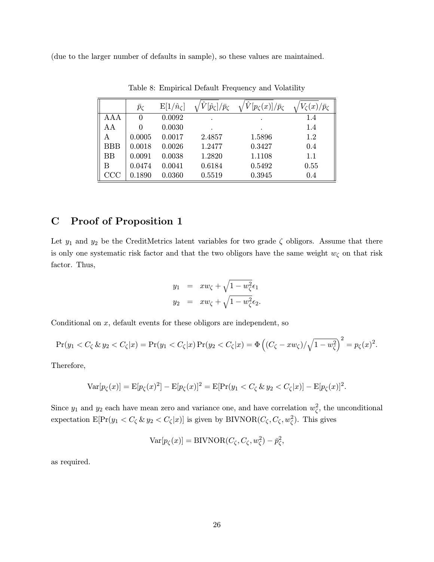(due to the larger number of defaults in sample), so these values are maintained.

|            | $\bar{p}_{\zeta}$ | $E[1/\hat{n}_\zeta]$ | $[\hat{p}_{\zeta}]/\bar{p}_{\zeta}$ | $[p_{\zeta}(x)]/\bar{p}_{\zeta}$ | $\zeta(x)/\bar p_\zeta$ |
|------------|-------------------|----------------------|-------------------------------------|----------------------------------|-------------------------|
| AAA        | 0                 | 0.0092               |                                     |                                  | 1.4                     |
| AА         | 0                 | 0.0030               |                                     |                                  | 1.4                     |
| А          | 0.0005            | 0.0017               | 2.4857                              | 1.5896                           | $1.2\,$                 |
| <b>BBB</b> | 0.0018            | 0.0026               | 1.2477                              | 0.3427                           | 0.4                     |
| ΒB         | 0.0091            | 0.0038               | 1.2820                              | 1.1108                           | 1.1                     |
| В          | 0.0474            | 0.0041               | 0.6184                              | 0.5492                           | 0.55                    |
| CCC        | 0.1890            | 0.0360               | 0.5519                              | 0.3945                           | 0.4                     |

Table 8: Empirical Default Frequency and Volatility

# C Proof of Proposition 1

Let  $y_1$  and  $y_2$  be the CreditMetrics latent variables for two grade  $\zeta$  obligors. Assume that there is only one systematic risk factor and that the two obligors have the same weight  $w_{\zeta}$  on that risk factor. Thus,

$$
y_1 = xw_{\zeta} + \sqrt{1 - w_{\zeta}^2} \epsilon_1
$$
  

$$
y_2 = xw_{\zeta} + \sqrt{1 - w_{\zeta}^2} \epsilon_2.
$$

Conditional on  $x$ , default events for these obligors are independent, so

$$
\Pr(y_1 < C_\zeta \& y_2 < C_\zeta | x) = \Pr(y_1 < C_\zeta | x) \Pr(y_2 < C_\zeta | x) = \Phi \left( (C_\zeta - x w_\zeta) / \sqrt{1 - w_\zeta^2} \right)^2 = p_\zeta(x)^2.
$$

Therefore,

$$
\text{Var}[p_{\zeta}(x)] = \text{E}[p_{\zeta}(x)^2] - \text{E}[p_{\zeta}(x)]^2 = \text{E}[\Pr(y_1 < C_{\zeta} \& y_2 < C_{\zeta}|x)] - \text{E}[p_{\zeta}(x)]^2.
$$

Since  $y_1$  and  $y_2$  each have mean zero and variance one, and have correlation  $w_{\zeta}^2$ , the unconditional expectation  $E[Pr(y_1 < C_{\zeta} \& y_2 < C_{\zeta}|x)]$  is given by BIVNOR $(C_{\zeta}, C_{\zeta}, w_{\zeta}^2)$ . This gives

$$
Var[p_{\zeta}(x)] = BIVNOR(C_{\zeta}, C_{\zeta}, w_{\zeta}^2) - \bar{p}_{\zeta}^2,
$$

as required.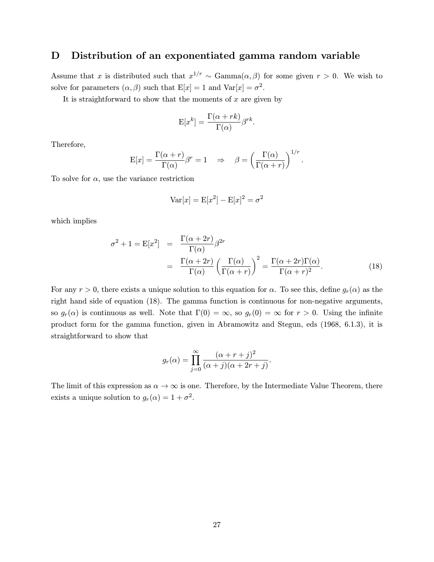# D Distribution of an exponentiated gamma random variable

Assume that x is distributed such that  $x^{1/r} \sim \text{Gamma}(\alpha, \beta)$  for some given  $r > 0$ . We wish to solve for parameters  $(\alpha, \beta)$  such that  $E[x] = 1$  and  $Var[x] = \sigma^2$ .

It is straightforward to show that the moments of  $x$  are given by

$$
E[x^k] = \frac{\Gamma(\alpha + rk)}{\Gamma(\alpha)} \beta^{rk}.
$$

Therefore,

$$
E[x] = \frac{\Gamma(\alpha + r)}{\Gamma(\alpha)} \beta^r = 1 \quad \Rightarrow \quad \beta = \left(\frac{\Gamma(\alpha)}{\Gamma(\alpha + r)}\right)^{1/r}.
$$

To solve for  $\alpha$ , use the variance restriction

$$
Var[x] = E[x^2] - E[x]^2 = \sigma^2
$$

which implies

$$
\sigma^{2} + 1 = \mathcal{E}[x^{2}] = \frac{\Gamma(\alpha + 2r)}{\Gamma(\alpha)} \beta^{2r}
$$

$$
= \frac{\Gamma(\alpha + 2r)}{\Gamma(\alpha)} \left(\frac{\Gamma(\alpha)}{\Gamma(\alpha + r)}\right)^{2} = \frac{\Gamma(\alpha + 2r)\Gamma(\alpha)}{\Gamma(\alpha + r)^{2}}.
$$
(18)

.

For any  $r > 0$ , there exists a unique solution to this equation for  $\alpha$ . To see this, define  $g_r(\alpha)$  as the right hand side of equation (18). The gamma function is continuous for non-negative arguments, so  $g_r(\alpha)$  is continuous as well. Note that  $\Gamma(0) = \infty$ , so  $g_r(0) = \infty$  for  $r > 0$ . Using the infinite product form for the gamma function, given in Abramowitz and Stegun, eds (1968, 6.1.3), it is straightforward to show that

$$
g_r(\alpha) = \prod_{j=0}^{\infty} \frac{(\alpha + r + j)^2}{(\alpha + j)(\alpha + 2r + j)}
$$

The limit of this expression as  $\alpha \to \infty$  is one. Therefore, by the Intermediate Value Theorem, there exists a unique solution to  $g_r(\alpha)=1+\sigma^2$ .